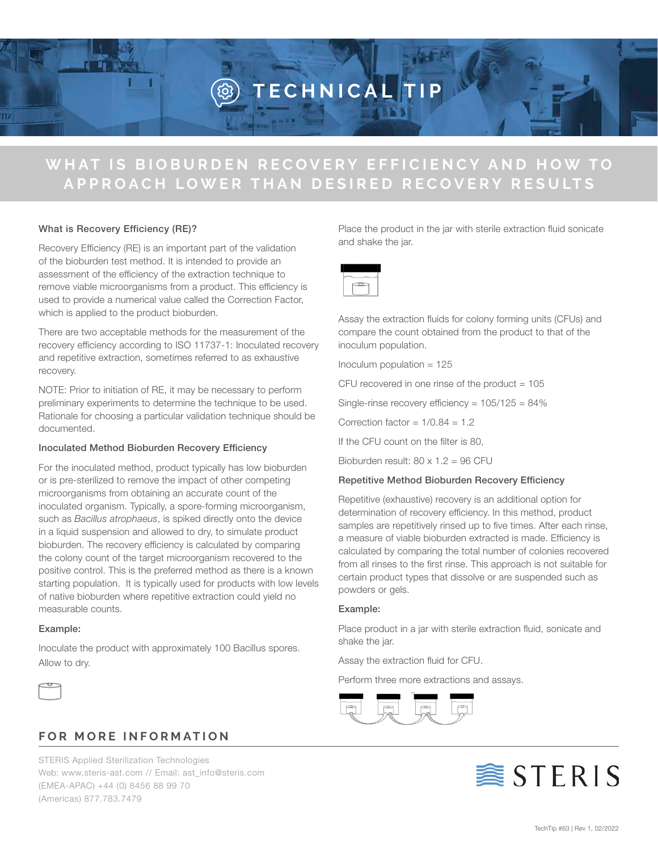# **TECHNICAL TIP**

## WHAT IS BIOBURDEN RECOVERY EFFICIENCY AND HOW TO **APPROACH LOWER THAN DESIRED RECOVERY RESULTS**

### What is Recovery Efficiency (RE)?

Recovery Efficiency (RE) is an important part of the validation of the bioburden test method. It is intended to provide an assessment of the efficiency of the extraction technique to remove viable microorganisms from a product. This efficiency is used to provide a numerical value called the Correction Factor, which is applied to the product bioburden.

There are two acceptable methods for the measurement of the recovery efficiency according to ISO 11737-1: Inoculated recovery and repetitive extraction, sometimes referred to as exhaustive recovery.

NOTE: Prior to initiation of RE, it may be necessary to perform preliminary experiments to determine the technique to be used. Rationale for choosing a particular validation technique should be documented.

### Inoculated Method Bioburden Recovery Efficiency

For the inoculated method, product typically has low bioburden or is pre-sterilized to remove the impact of other competing microorganisms from obtaining an accurate count of the inoculated organism. Typically, a spore-forming microorganism, such as *Bacillus atrophaeus*, is spiked directly onto the device in a liquid suspension and allowed to dry, to simulate product bioburden. The recovery efficiency is calculated by comparing the colony count of the target microorganism recovered to the positive control. This is the preferred method as there is a known starting population. It is typically used for products with low levels of native bioburden where repetitive extraction could yield no measurable counts.

#### Example:

Inoculate the product with approximately 100 Bacillus spores. Allow to dry.



### **FOR MORE INFORMATION**

STERIS Applied Sterilization Technologies Web: www.steris-ast.com // Email: ast\_info@steris.com (EMEA-APAC) +44 (0) 8456 88 99 70 (Americas) 877.783.7479

Place the product in the jar with sterile extraction fluid sonicate and shake the jar.



Assay the extraction fluids for colony forming units (CFUs) and compare the count obtained from the product to that of the inoculum population.

Inoculum population  $= 125$ 

CFU recovered in one rinse of the product  $= 105$ 

Single-rinse recovery efficiency = 105/125 = 84%

Correction factor =  $1/0.84 = 1.2$ 

If the CFU count on the filter is 80,

Bioburden result:  $80 \times 1.2 = 96$  CFU

### Repetitive Method Bioburden Recovery Efficiency

Repetitive (exhaustive) recovery is an additional option for determination of recovery efficiency. In this method, product samples are repetitively rinsed up to five times. After each rinse, a measure of viable bioburden extracted is made. Efficiency is calculated by comparing the total number of colonies recovered from all rinses to the first rinse. This approach is not suitable for certain product types that dissolve or are suspended such as powders or gels.

### Example:

Place product in a jar with sterile extraction fluid, sonicate and shake the jar.

Assay the extraction fluid for CFU.

Perform three more extractions and assays.